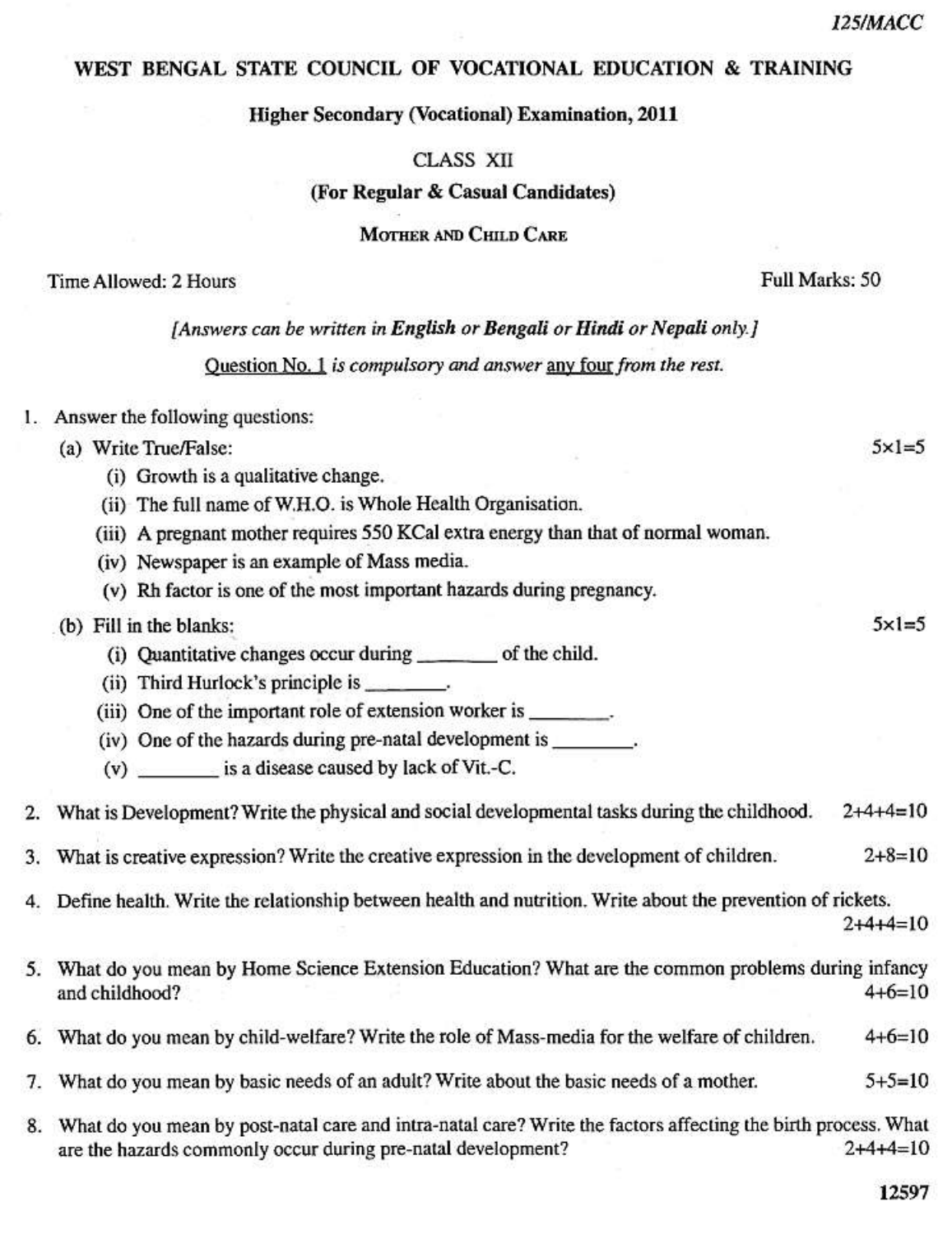$5 \times 1 = 5$ 

 $5 \times 1 = 5$ 

Full Marks: 50

## WEST BENGAL STATE COUNCIL OF VOCATIONAL EDUCATION & TRAINING

#### **Higher Secondary (Vocational) Examination, 2011**

#### **CLASS XII**

#### (For Regular & Casual Candidates)

MOTHER AND CHILD CARE

### Time Allowed: 2 Hours

#### [Answers can be written in English or Bengali or Hindi or Nepali only.]

Question No. 1 is compulsory and answer any four from the rest.

#### 1. Answer the following questions:

#### (a) Write True/False:

- (i) Growth is a qualitative change.
- (ii) The full name of W.H.O. is Whole Health Organisation.
- (iii) A pregnant mother requires 550 KCal extra energy than that of normal woman.
- (iv) Newspaper is an example of Mass media.
- (v) Rh factor is one of the most important hazards during pregnancy.

#### (b) Fill in the blanks:

- (i) Quantitative changes occur during \_\_\_\_\_\_\_\_\_ of the child.
- $(ii)$  Third Hurlock's principle is \_\_\_\_\_\_\_\_.
- (iii) One of the important role of extension worker is \_\_\_\_\_\_\_\_\_.
- (iv) One of the hazards during pre-natal development is .
- (v) is a disease caused by lack of Vit.-C.

#### 2. What is Development? Write the physical and social developmental tasks during the childhood.  $2+4+4=10$

- $2 + 8 = 10$ What is creative expression? Write the creative expression in the development of children. 3.
- 4. Define health. Write the relationship between health and nutrition. Write about the prevention of rickets.
	- $2+4+4=10$
- 5. What do you mean by Home Science Extension Education? What are the common problems during infancy  $4+6=10$ and childhood?
- What do you mean by child-welfare? Write the role of Mass-media for the welfare of children.  $4+6=10$ 6.
- What do you mean by basic needs of an adult? Write about the basic needs of a mother.  $5 + 5 = 10$ 7.
- 8. What do you mean by post-natal care and intra-natal care? Write the factors affecting the birth process. What are the hazards commonly occur during pre-natal development?  $2+4+4=10$